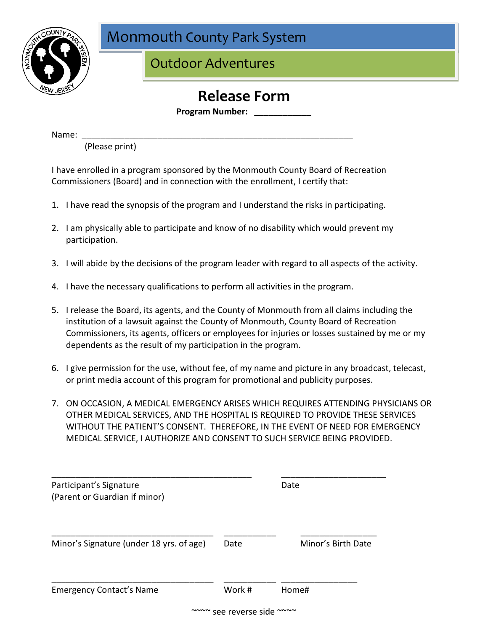

Monmouth County Park System

Outdoor Adventures

## **Release Form**

**Program Number:** 

Name: \_\_\_\_\_\_\_\_\_\_\_\_\_\_\_\_\_\_\_\_\_\_\_\_\_\_\_\_\_\_\_\_\_\_\_\_\_\_\_\_\_\_\_\_\_\_\_\_\_\_\_\_\_\_\_\_\_

(Please print)

I have enrolled in a program sponsored by the Monmouth County Board of Recreation Commissioners (Board) and in connection with the enrollment, I certify that:

- 1. I have read the synopsis of the program and I understand the risks in participating.
- 2. I am physically able to participate and know of no disability which would prevent my participation.
- 3. I will abide by the decisions of the program leader with regard to all aspects of the activity.
- 4. I have the necessary qualifications to perform all activities in the program.
- 5. I release the Board, its agents, and the County of Monmouth from all claims including the institution of a lawsuit against the County of Monmouth, County Board of Recreation Commissioners, its agents, officers or employees for injuries or losses sustained by me or my dependents as the result of my participation in the program.
- 6. I give permission for the use, without fee, of my name and picture in any broadcast, telecast, or print media account of this program for promotional and publicity purposes.
- 7. ON OCCASION, A MEDICAL EMERGENCY ARISES WHICH REQUIRES ATTENDING PHYSICIANS OR OTHER MEDICAL SERVICES, AND THE HOSPITAL IS REQUIRED TO PROVIDE THESE SERVICES WITHOUT THE PATIENT'S CONSENT. THEREFORE, IN THE EVENT OF NEED FOR EMERGENCY MEDICAL SERVICE, I AUTHORIZE AND CONSENT TO SUCH SERVICE BEING PROVIDED.

| Participant's Signature<br>(Parent or Guardian if minor) |        | Date               |
|----------------------------------------------------------|--------|--------------------|
| Minor's Signature (under 18 yrs. of age)                 | Date   | Minor's Birth Date |
| <b>Emergency Contact's Name</b>                          | Work # | Home#              |